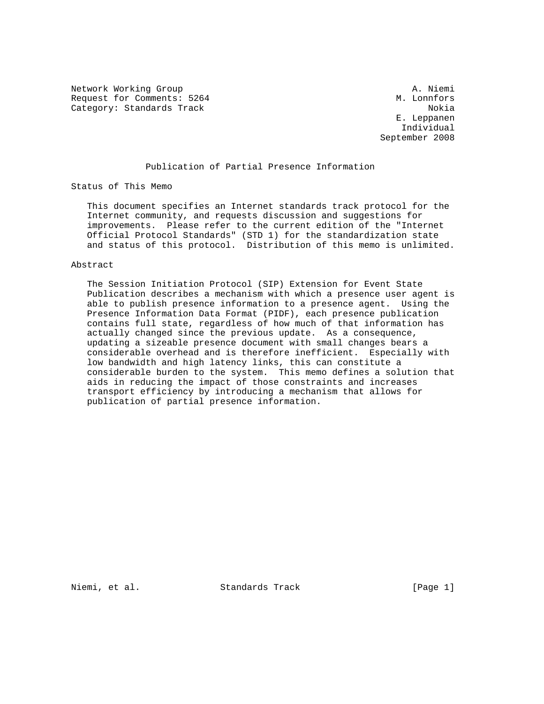Network Working Group A. Niemi Request for Comments: 5264 Category: Standards Track Nokia Nokia Nokia Nokia Nokia Nokia Nokia Nokia Nokia Nokia Nokia Nokia Nokia Nokia

 E. Leppanen Individual September 2008

## Publication of Partial Presence Information

Status of This Memo

 This document specifies an Internet standards track protocol for the Internet community, and requests discussion and suggestions for improvements. Please refer to the current edition of the "Internet Official Protocol Standards" (STD 1) for the standardization state and status of this protocol. Distribution of this memo is unlimited.

### Abstract

 The Session Initiation Protocol (SIP) Extension for Event State Publication describes a mechanism with which a presence user agent is able to publish presence information to a presence agent. Using the Presence Information Data Format (PIDF), each presence publication contains full state, regardless of how much of that information has actually changed since the previous update. As a consequence, updating a sizeable presence document with small changes bears a considerable overhead and is therefore inefficient. Especially with low bandwidth and high latency links, this can constitute a considerable burden to the system. This memo defines a solution that aids in reducing the impact of those constraints and increases transport efficiency by introducing a mechanism that allows for publication of partial presence information.

Niemi, et al. Standards Track [Page 1]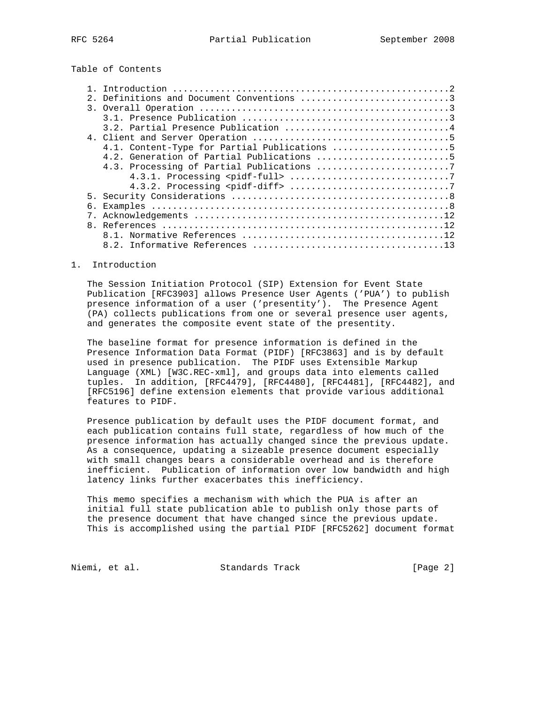Table of Contents

|    | 4.1. Content-Type for Partial Publications 5 |
|----|----------------------------------------------|
|    | 4.2. Generation of Partial Publications 5    |
|    |                                              |
|    |                                              |
|    |                                              |
|    |                                              |
| б. |                                              |
|    |                                              |
|    |                                              |
|    |                                              |
|    |                                              |
|    |                                              |

## 1. Introduction

 The Session Initiation Protocol (SIP) Extension for Event State Publication [RFC3903] allows Presence User Agents ('PUA') to publish presence information of a user ('presentity'). The Presence Agent (PA) collects publications from one or several presence user agents, and generates the composite event state of the presentity.

 The baseline format for presence information is defined in the Presence Information Data Format (PIDF) [RFC3863] and is by default used in presence publication. The PIDF uses Extensible Markup Language (XML) [W3C.REC-xml], and groups data into elements called tuples. In addition, [RFC4479], [RFC4480], [RFC4481], [RFC4482], and [RFC5196] define extension elements that provide various additional features to PIDF.

 Presence publication by default uses the PIDF document format, and each publication contains full state, regardless of how much of the presence information has actually changed since the previous update. As a consequence, updating a sizeable presence document especially with small changes bears a considerable overhead and is therefore inefficient. Publication of information over low bandwidth and high latency links further exacerbates this inefficiency.

 This memo specifies a mechanism with which the PUA is after an initial full state publication able to publish only those parts of the presence document that have changed since the previous update. This is accomplished using the partial PIDF [RFC5262] document format

Niemi, et al. Standards Track (Page 2)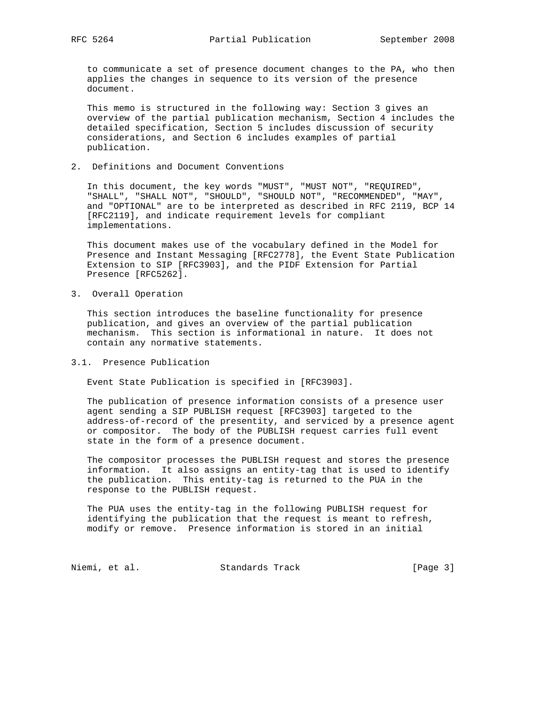to communicate a set of presence document changes to the PA, who then applies the changes in sequence to its version of the presence document.

 This memo is structured in the following way: Section 3 gives an overview of the partial publication mechanism, Section 4 includes the detailed specification, Section 5 includes discussion of security considerations, and Section 6 includes examples of partial publication.

2. Definitions and Document Conventions

 In this document, the key words "MUST", "MUST NOT", "REQUIRED", "SHALL", "SHALL NOT", "SHOULD", "SHOULD NOT", "RECOMMENDED", "MAY", and "OPTIONAL" are to be interpreted as described in RFC 2119, BCP 14 [RFC2119], and indicate requirement levels for compliant implementations.

 This document makes use of the vocabulary defined in the Model for Presence and Instant Messaging [RFC2778], the Event State Publication Extension to SIP [RFC3903], and the PIDF Extension for Partial Presence [RFC5262].

3. Overall Operation

 This section introduces the baseline functionality for presence publication, and gives an overview of the partial publication mechanism. This section is informational in nature. It does not contain any normative statements.

3.1. Presence Publication

Event State Publication is specified in [RFC3903].

 The publication of presence information consists of a presence user agent sending a SIP PUBLISH request [RFC3903] targeted to the address-of-record of the presentity, and serviced by a presence agent or compositor. The body of the PUBLISH request carries full event state in the form of a presence document.

 The compositor processes the PUBLISH request and stores the presence information. It also assigns an entity-tag that is used to identify the publication. This entity-tag is returned to the PUA in the response to the PUBLISH request.

 The PUA uses the entity-tag in the following PUBLISH request for identifying the publication that the request is meant to refresh, modify or remove. Presence information is stored in an initial

Niemi, et al. Standards Track [Page 3]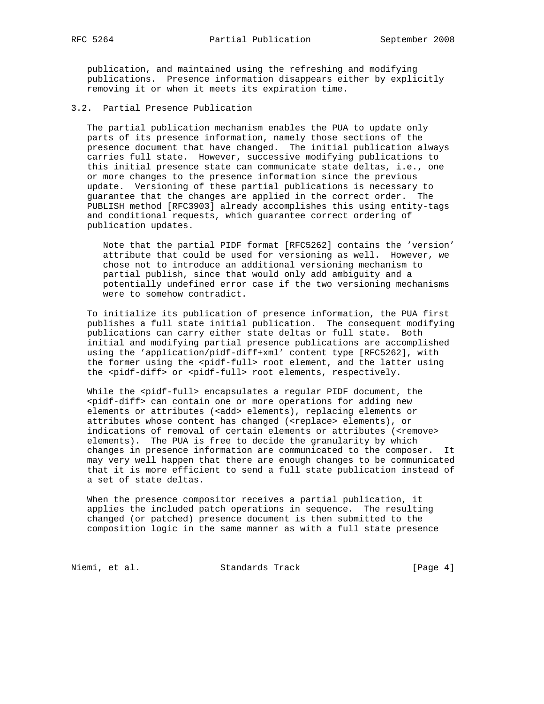publication, and maintained using the refreshing and modifying publications. Presence information disappears either by explicitly removing it or when it meets its expiration time.

3.2. Partial Presence Publication

 The partial publication mechanism enables the PUA to update only parts of its presence information, namely those sections of the presence document that have changed. The initial publication always carries full state. However, successive modifying publications to this initial presence state can communicate state deltas, i.e., one or more changes to the presence information since the previous update. Versioning of these partial publications is necessary to guarantee that the changes are applied in the correct order. The PUBLISH method [RFC3903] already accomplishes this using entity-tags and conditional requests, which guarantee correct ordering of publication updates.

 Note that the partial PIDF format [RFC5262] contains the 'version' attribute that could be used for versioning as well. However, we chose not to introduce an additional versioning mechanism to partial publish, since that would only add ambiguity and a potentially undefined error case if the two versioning mechanisms were to somehow contradict.

 To initialize its publication of presence information, the PUA first publishes a full state initial publication. The consequent modifying publications can carry either state deltas or full state. Both initial and modifying partial presence publications are accomplished using the 'application/pidf-diff+xml' content type [RFC5262], with the former using the <pidf-full> root element, and the latter using the <pidf-diff> or <pidf-full> root elements, respectively.

While the <pidf-full> encapsulates a regular PIDF document, the <pidf-diff> can contain one or more operations for adding new elements or attributes (<add> elements), replacing elements or attributes whose content has changed (<replace> elements), or indications of removal of certain elements or attributes (<remove> elements). The PUA is free to decide the granularity by which changes in presence information are communicated to the composer. It may very well happen that there are enough changes to be communicated that it is more efficient to send a full state publication instead of a set of state deltas.

 When the presence compositor receives a partial publication, it applies the included patch operations in sequence. The resulting changed (or patched) presence document is then submitted to the composition logic in the same manner as with a full state presence

Niemi, et al. Standards Track [Page 4]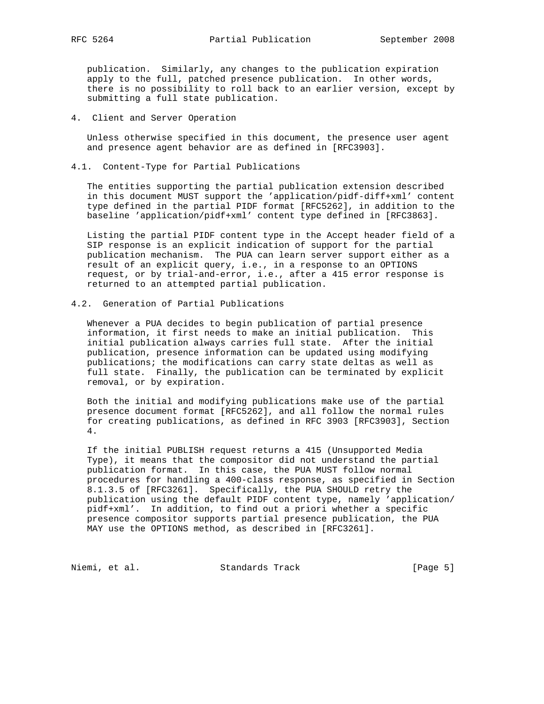publication. Similarly, any changes to the publication expiration apply to the full, patched presence publication. In other words, there is no possibility to roll back to an earlier version, except by submitting a full state publication.

4. Client and Server Operation

 Unless otherwise specified in this document, the presence user agent and presence agent behavior are as defined in [RFC3903].

4.1. Content-Type for Partial Publications

 The entities supporting the partial publication extension described in this document MUST support the 'application/pidf-diff+xml' content type defined in the partial PIDF format [RFC5262], in addition to the baseline 'application/pidf+xml' content type defined in [RFC3863].

 Listing the partial PIDF content type in the Accept header field of a SIP response is an explicit indication of support for the partial publication mechanism. The PUA can learn server support either as a result of an explicit query, i.e., in a response to an OPTIONS request, or by trial-and-error, i.e., after a 415 error response is returned to an attempted partial publication.

4.2. Generation of Partial Publications

 Whenever a PUA decides to begin publication of partial presence information, it first needs to make an initial publication. This initial publication always carries full state. After the initial publication, presence information can be updated using modifying publications; the modifications can carry state deltas as well as full state. Finally, the publication can be terminated by explicit removal, or by expiration.

 Both the initial and modifying publications make use of the partial presence document format [RFC5262], and all follow the normal rules for creating publications, as defined in RFC 3903 [RFC3903], Section 4.

 If the initial PUBLISH request returns a 415 (Unsupported Media Type), it means that the compositor did not understand the partial publication format. In this case, the PUA MUST follow normal procedures for handling a 400-class response, as specified in Section 8.1.3.5 of [RFC3261]. Specifically, the PUA SHOULD retry the publication using the default PIDF content type, namely 'application/ pidf+xml'. In addition, to find out a priori whether a specific presence compositor supports partial presence publication, the PUA MAY use the OPTIONS method, as described in [RFC3261].

Niemi, et al. Standards Track (Page 5)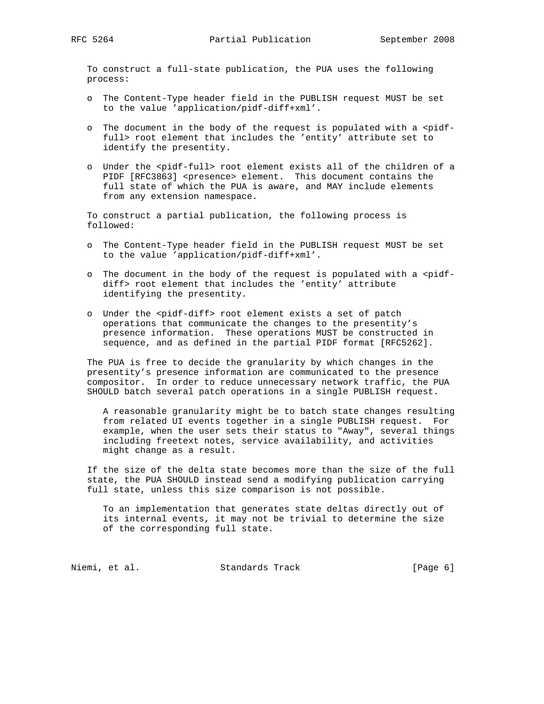To construct a full-state publication, the PUA uses the following process:

- o The Content-Type header field in the PUBLISH request MUST be set to the value 'application/pidf-diff+xml'.
- o The document in the body of the request is populated with a <pidf full> root element that includes the 'entity' attribute set to identify the presentity.
- o Under the <pidf-full> root element exists all of the children of a PIDF [RFC3863] <presence> element. This document contains the full state of which the PUA is aware, and MAY include elements from any extension namespace.

 To construct a partial publication, the following process is followed:

- o The Content-Type header field in the PUBLISH request MUST be set to the value 'application/pidf-diff+xml'.
- o The document in the body of the request is populated with a <pidf diff> root element that includes the 'entity' attribute identifying the presentity.
- o Under the <pidf-diff> root element exists a set of patch operations that communicate the changes to the presentity's presence information. These operations MUST be constructed in sequence, and as defined in the partial PIDF format [RFC5262].

 The PUA is free to decide the granularity by which changes in the presentity's presence information are communicated to the presence compositor. In order to reduce unnecessary network traffic, the PUA SHOULD batch several patch operations in a single PUBLISH request.

 A reasonable granularity might be to batch state changes resulting from related UI events together in a single PUBLISH request. For example, when the user sets their status to "Away", several things including freetext notes, service availability, and activities might change as a result.

 If the size of the delta state becomes more than the size of the full state, the PUA SHOULD instead send a modifying publication carrying full state, unless this size comparison is not possible.

 To an implementation that generates state deltas directly out of its internal events, it may not be trivial to determine the size of the corresponding full state.

Niemi, et al. Standards Track [Page 6]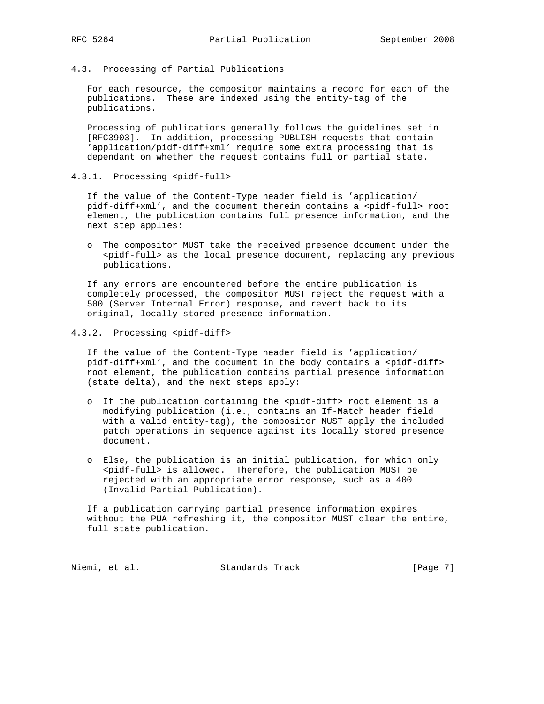4.3. Processing of Partial Publications

 For each resource, the compositor maintains a record for each of the publications. These are indexed using the entity-tag of the publications.

 Processing of publications generally follows the guidelines set in [RFC3903]. In addition, processing PUBLISH requests that contain 'application/pidf-diff+xml' require some extra processing that is dependant on whether the request contains full or partial state.

4.3.1. Processing <pidf-full>

 If the value of the Content-Type header field is 'application/ pidf-diff+xml', and the document therein contains a <pidf-full> root element, the publication contains full presence information, and the next step applies:

 o The compositor MUST take the received presence document under the <pidf-full> as the local presence document, replacing any previous publications.

 If any errors are encountered before the entire publication is completely processed, the compositor MUST reject the request with a 500 (Server Internal Error) response, and revert back to its original, locally stored presence information.

4.3.2. Processing <pidf-diff>

 If the value of the Content-Type header field is 'application/ pidf-diff+xml', and the document in the body contains a <pidf-diff> root element, the publication contains partial presence information (state delta), and the next steps apply:

- o If the publication containing the <pidf-diff> root element is a modifying publication (i.e., contains an If-Match header field with a valid entity-tag), the compositor MUST apply the included patch operations in sequence against its locally stored presence document.
- o Else, the publication is an initial publication, for which only <pidf-full> is allowed. Therefore, the publication MUST be rejected with an appropriate error response, such as a 400 (Invalid Partial Publication).

 If a publication carrying partial presence information expires without the PUA refreshing it, the compositor MUST clear the entire, full state publication.

Niemi, et al. Standards Track [Page 7]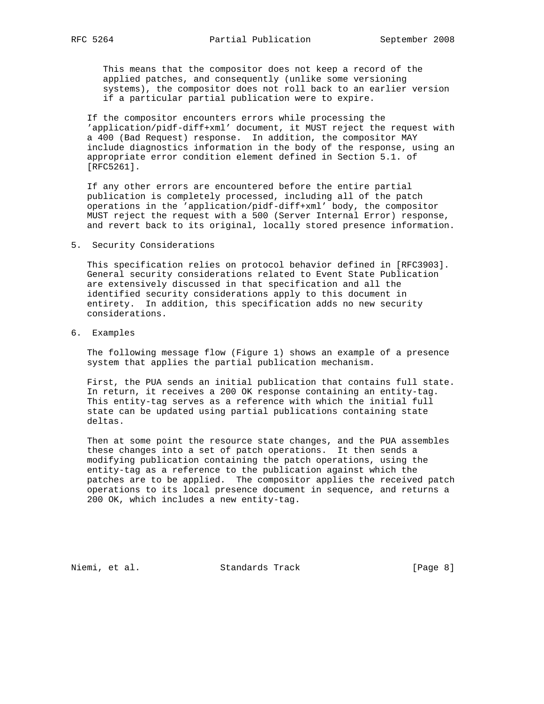This means that the compositor does not keep a record of the applied patches, and consequently (unlike some versioning systems), the compositor does not roll back to an earlier version if a particular partial publication were to expire.

 If the compositor encounters errors while processing the 'application/pidf-diff+xml' document, it MUST reject the request with a 400 (Bad Request) response. In addition, the compositor MAY include diagnostics information in the body of the response, using an appropriate error condition element defined in Section 5.1. of [RFC5261].

 If any other errors are encountered before the entire partial publication is completely processed, including all of the patch operations in the 'application/pidf-diff+xml' body, the compositor MUST reject the request with a 500 (Server Internal Error) response, and revert back to its original, locally stored presence information.

### 5. Security Considerations

 This specification relies on protocol behavior defined in [RFC3903]. General security considerations related to Event State Publication are extensively discussed in that specification and all the identified security considerations apply to this document in entirety. In addition, this specification adds no new security considerations.

6. Examples

 The following message flow (Figure 1) shows an example of a presence system that applies the partial publication mechanism.

 First, the PUA sends an initial publication that contains full state. In return, it receives a 200 OK response containing an entity-tag. This entity-tag serves as a reference with which the initial full state can be updated using partial publications containing state deltas.

 Then at some point the resource state changes, and the PUA assembles these changes into a set of patch operations. It then sends a modifying publication containing the patch operations, using the entity-tag as a reference to the publication against which the patches are to be applied. The compositor applies the received patch operations to its local presence document in sequence, and returns a 200 OK, which includes a new entity-tag.

Niemi, et al. Standards Track [Page 8]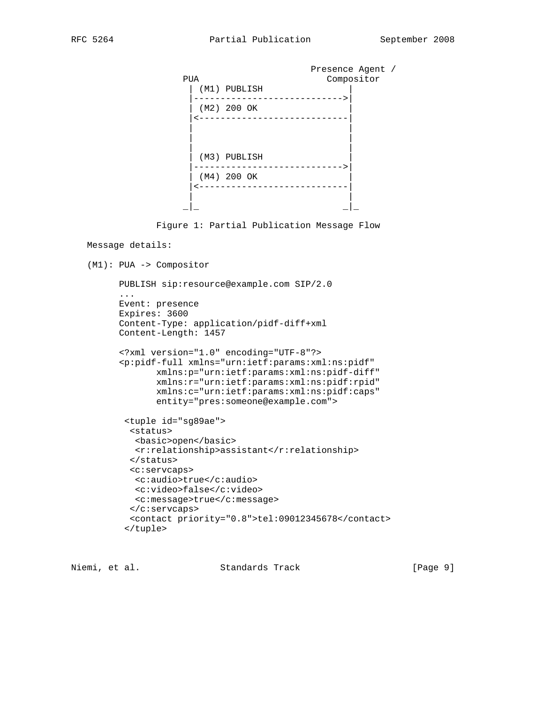|     |              | Presence Agent / |
|-----|--------------|------------------|
| PUA |              | Compositor       |
|     | (M1) PUBLISH |                  |
|     | (M2) 200 OK  |                  |
|     |              |                  |
|     |              |                  |
|     | (M3) PUBLISH |                  |
|     | (M4) 200 OK  |                  |
|     |              |                  |
|     |              |                  |

Figure 1: Partial Publication Message Flow

# Message details:

```
 (M1): PUA -> Compositor
```

```
 PUBLISH sip:resource@example.com SIP/2.0
...
Event: presence
Expires: 3600
Content-Type: application/pidf-diff+xml
Content-Length: 1457
<?xml version="1.0" encoding="UTF-8"?>
<p:pidf-full xmlns="urn:ietf:params:xml:ns:pidf"
       xmlns:p="urn:ietf:params:xml:ns:pidf-diff"
       xmlns:r="urn:ietf:params:xml:ns:pidf:rpid"
       xmlns:c="urn:ietf:params:xml:ns:pidf:caps"
       entity="pres:someone@example.com">
 <tuple id="sg89ae">
  <status>
   <basic>open</basic>
   <r:relationship>assistant</r:relationship>
  </status>
  <c:servcaps>
  <c:audio>true</c:audio>
   <c:video>false</c:video>
   <c:message>true</c:message>
 </c:servcaps>
  <contact priority="0.8">tel:09012345678</contact>
 </tuple>
```
Niemi, et al. Standards Track [Page 9]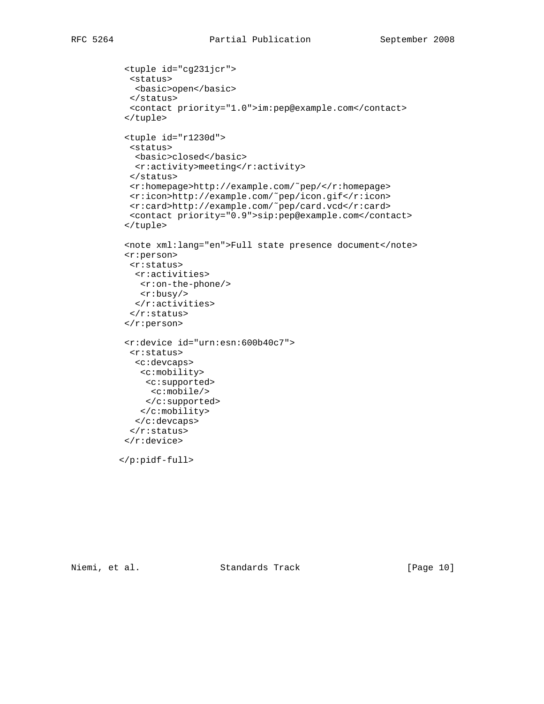```
 <tuple id="cg231jcr">
           <status>
            <basic>open</basic>
           </status>
           <contact priority="1.0">im:pep@example.com</contact>
          </tuple>
          <tuple id="r1230d">
           <status>
            <basic>closed</basic>
            <r:activity>meeting</r:activity>
           </status>
           <r:homepage>http://example.com/˜pep/</r:homepage>
<r:icon>http://example.com/˜pep/icon.gif</r:icon>
<r:card>http://example.com/˜pep/card.vcd</r:card>
           <contact priority="0.9">sip:pep@example.com</contact>
          </tuple>
          <note xml:lang="en">Full state presence document</note>
          <r:person>
           <r:status>
            <r:activities>
             <r:on-the-phone/>
             <r:busy/>
           \langle r:activities>
          \langle r: {\rm status} \rangle\langle r:person>
          <r:device id="urn:esn:600b40c7">
           <r:status>
            <c:devcaps>
             <c:mobility>
              <c:supported>
               <c:mobile/>
              </c:supported>
             </c:mobility>
            </c:devcaps>
          \langle r: {\rm status} \rangle </r:device>
         </p:pidf-full>
```
Niemi, et al. Standards Track [Page 10]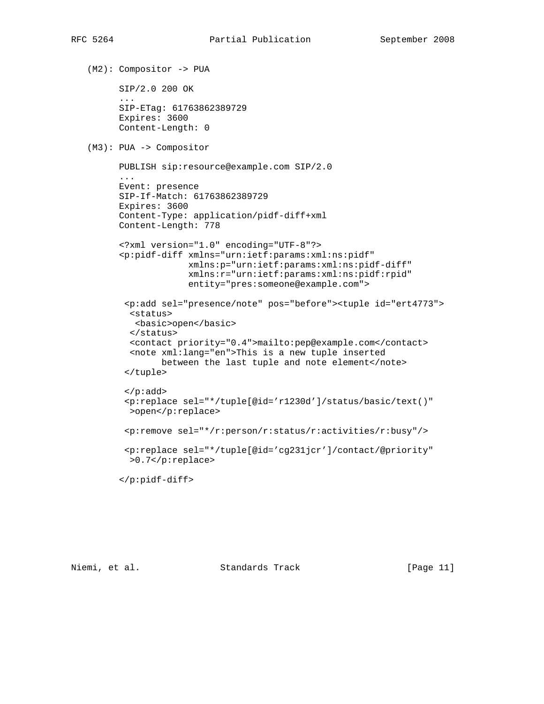(M2): Compositor -> PUA SIP/2.0 200 OK ... SIP-ETag: 61763862389729 Expires: 3600 Content-Length: 0 (M3): PUA -> Compositor PUBLISH sip:resource@example.com SIP/2.0 ... Event: presence SIP-If-Match: 61763862389729 Expires: 3600 Content-Type: application/pidf-diff+xml Content-Length: 778 <?xml version="1.0" encoding="UTF-8"?> <p:pidf-diff xmlns="urn:ietf:params:xml:ns:pidf" xmlns:p="urn:ietf:params:xml:ns:pidf-diff" xmlns:r="urn:ietf:params:xml:ns:pidf:rpid" entity="pres:someone@example.com"> <p:add sel="presence/note" pos="before"><tuple id="ert4773"> <status> <basic>open</basic> </status> <contact priority="0.4">mailto:pep@example.com</contact> <note xml:lang="en">This is a new tuple inserted between the last tuple and note element</note> </tuple> </p:add> <p:replace sel="\*/tuple[@id='r1230d']/status/basic/text()" >open</p:replace> <p:remove sel="\*/r:person/r:status/r:activities/r:busy"/> <p:replace sel="\*/tuple[@id='cg231jcr']/contact/@priority" >0.7</p:replace> </p:pidf-diff>

Niemi, et al. Standards Track [Page 11]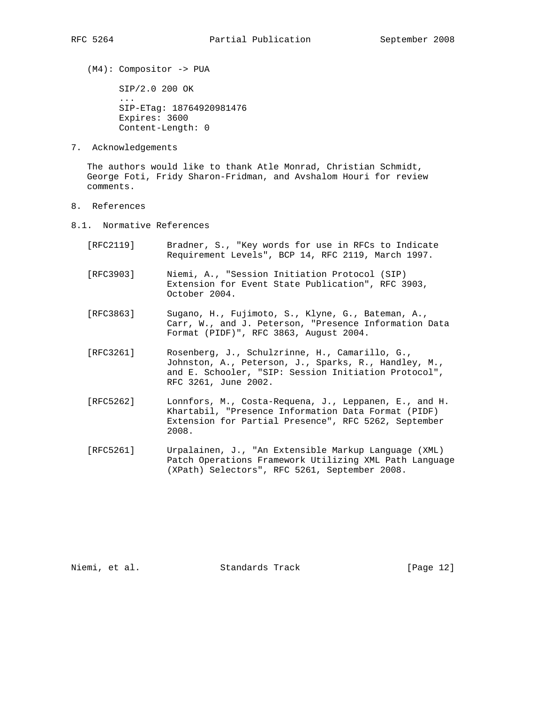(M4): Compositor -> PUA

 SIP/2.0 200 OK ... SIP-ETag: 18764920981476 Expires: 3600 Content-Length: 0

7. Acknowledgements

 The authors would like to thank Atle Monrad, Christian Schmidt, George Foti, Fridy Sharon-Fridman, and Avshalom Houri for review comments.

- 8. References
- 8.1. Normative References
	- [RFC2119] Bradner, S., "Key words for use in RFCs to Indicate Requirement Levels", BCP 14, RFC 2119, March 1997.
	- [RFC3903] Niemi, A., "Session Initiation Protocol (SIP) Extension for Event State Publication", RFC 3903, October 2004.
	- [RFC3863] Sugano, H., Fujimoto, S., Klyne, G., Bateman, A., Carr, W., and J. Peterson, "Presence Information Data Format (PIDF)", RFC 3863, August 2004.
	- [RFC3261] Rosenberg, J., Schulzrinne, H., Camarillo, G., Johnston, A., Peterson, J., Sparks, R., Handley, M., and E. Schooler, "SIP: Session Initiation Protocol", RFC 3261, June 2002.
	- [RFC5262] Lonnfors, M., Costa-Requena, J., Leppanen, E., and H. Khartabil, "Presence Information Data Format (PIDF) Extension for Partial Presence", RFC 5262, September 2008.
	- [RFC5261] Urpalainen, J., "An Extensible Markup Language (XML) Patch Operations Framework Utilizing XML Path Language (XPath) Selectors", RFC 5261, September 2008.

Niemi, et al. Standards Track [Page 12]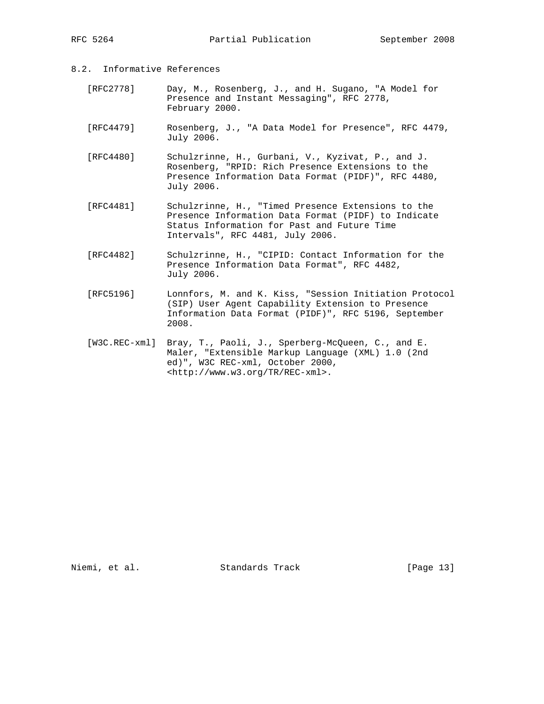- 8.2. Informative References
	- [RFC2778] Day, M., Rosenberg, J., and H. Sugano, "A Model for Presence and Instant Messaging", RFC 2778, February 2000.
	- [RFC4479] Rosenberg, J., "A Data Model for Presence", RFC 4479, July 2006.

 [RFC4480] Schulzrinne, H., Gurbani, V., Kyzivat, P., and J. Rosenberg, "RPID: Rich Presence Extensions to the Presence Information Data Format (PIDF)", RFC 4480, July 2006.

- [RFC4481] Schulzrinne, H., "Timed Presence Extensions to the Presence Information Data Format (PIDF) to Indicate Status Information for Past and Future Time Intervals", RFC 4481, July 2006.
- [RFC4482] Schulzrinne, H., "CIPID: Contact Information for the Presence Information Data Format", RFC 4482, July 2006.
- [RFC5196] Lonnfors, M. and K. Kiss, "Session Initiation Protocol (SIP) User Agent Capability Extension to Presence Information Data Format (PIDF)", RFC 5196, September 2008.
- [W3C.REC-xml] Bray, T., Paoli, J., Sperberg-McQueen, C., and E. Maler, "Extensible Markup Language (XML) 1.0 (2nd ed)", W3C REC-xml, October 2000, <http://www.w3.org/TR/REC-xml>.

Niemi, et al. Standards Track [Page 13]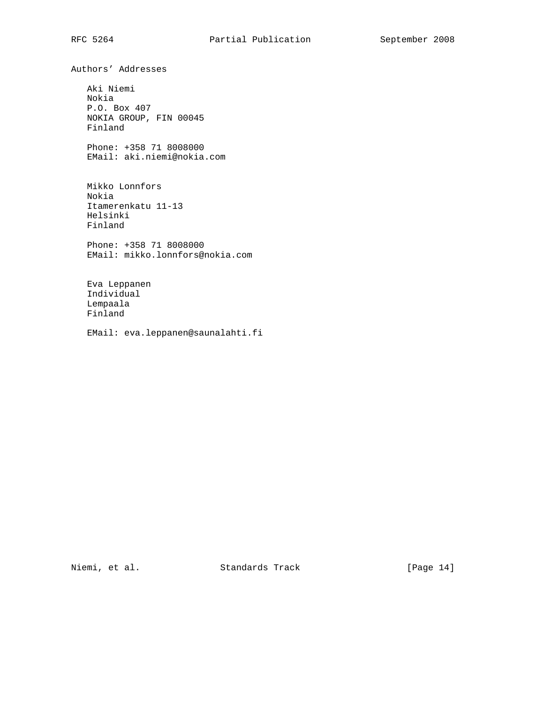Authors' Addresses

 Aki Niemi Nokia P.O. Box 407 NOKIA GROUP, FIN 00045 Finland

 Phone: +358 71 8008000 EMail: aki.niemi@nokia.com

 Mikko Lonnfors Nokia Itamerenkatu 11-13 Helsinki Finland

 Phone: +358 71 8008000 EMail: mikko.lonnfors@nokia.com

 Eva Leppanen Individual Lempaala Finland

EMail: eva.leppanen@saunalahti.fi

Niemi, et al. Standards Track [Page 14]